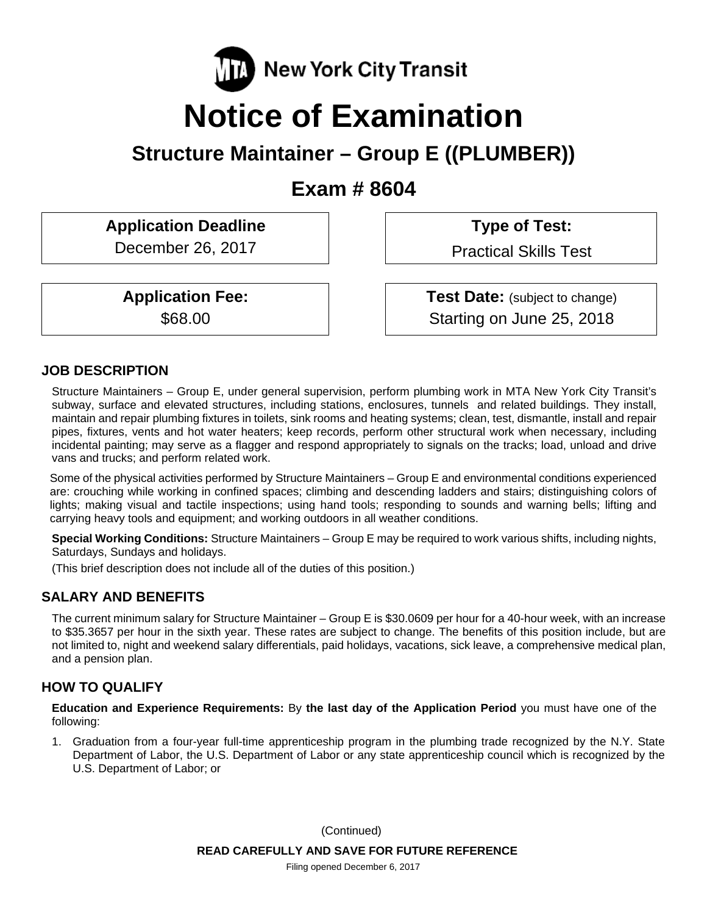

# **Notice of Examination**

## **Structure Maintainer – Group E ((PLUMBER))**

**Exam # 8604** 

Application Deadline **Type of Test:** 

December 26, 2017 | Practical Skills Test

**Application Fee:**  $\vert$  **Test Date:** (subject to change) \$68.00 Starting on June 25, 2018

## **JOB DESCRIPTION**

Structure Maintainers – Group E, under general supervision, perform plumbing work in MTA New York City Transit's subway, surface and elevated structures, including stations, enclosures, tunnels and related buildings. They install, maintain and repair plumbing fixtures in toilets, sink rooms and heating systems; clean, test, dismantle, install and repair pipes, fixtures, vents and hot water heaters; keep records, perform other structural work when necessary, including incidental painting; may serve as a flagger and respond appropriately to signals on the tracks; load, unload and drive vans and trucks; and perform related work.

Some of the physical activities performed by Structure Maintainers – Group E and environmental conditions experienced are: crouching while working in confined spaces; climbing and descending ladders and stairs; distinguishing colors of lights; making visual and tactile inspections; using hand tools; responding to sounds and warning bells; lifting and carrying heavy tools and equipment; and working outdoors in all weather conditions.

**Special Working Conditions:** Structure Maintainers – Group E may be required to work various shifts, including nights, Saturdays, Sundays and holidays.

(This brief description does not include all of the duties of this position.)

## **SALARY AND BENEFITS**

The current minimum salary for Structure Maintainer – Group E is \$30.0609 per hour for a 40-hour week, with an increase to \$35.3657 per hour in the sixth year. These rates are subject to change. The benefits of this position include, but are not limited to, night and weekend salary differentials, paid holidays, vacations, sick leave, a comprehensive medical plan, and a pension plan.

## **HOW TO QUALIFY**

**Education and Experience Requirements:** By **the last day of the Application Period** you must have one of the following:

1. Graduation from a four-year full-time apprenticeship program in the plumbing trade recognized by the N.Y. State Department of Labor, the U.S. Department of Labor or any state apprenticeship council which is recognized by the U.S. Department of Labor; or

> **READ CAREFULLY AND SAVE FOR FUTURE REFERENCE**  (Continued)

Filing opened December 6, 2017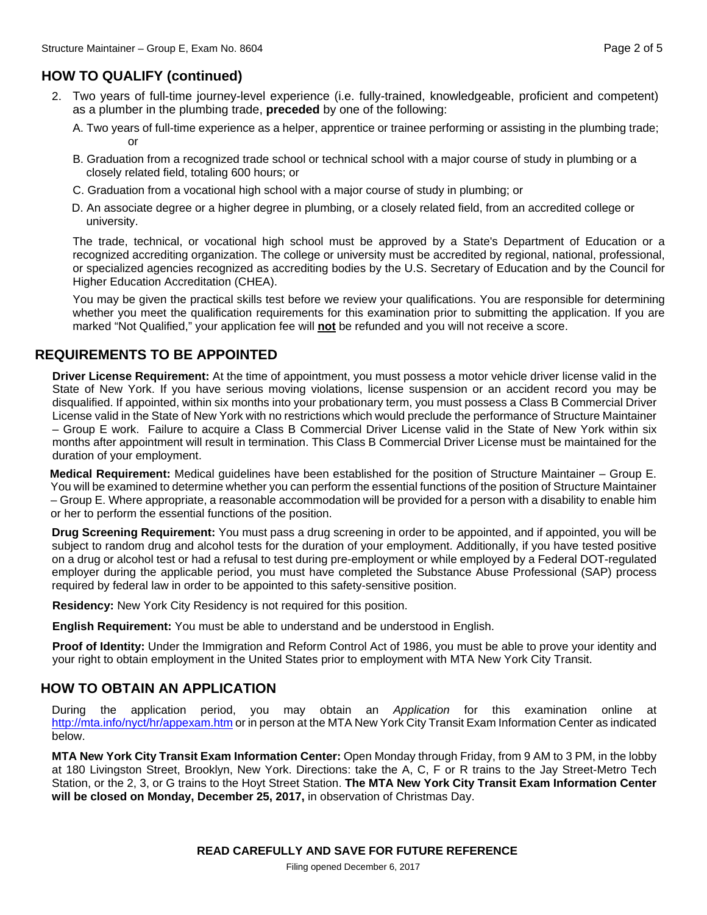## **HOW TO QUALIFY (continued)**

- 2. Two years of full-time journey-level experience (i.e. fully-trained, knowledgeable, proficient and competent) as a plumber in the plumbing trade, **preceded** by one of the following:
	- A. Two years of full-time experience as a helper, apprentice or trainee performing or assisting in the plumbing trade; **or or**
	- B. Graduation from a recognized trade school or technical school with a major course of study in plumbing or a closely related field, totaling 600 hours; or
	- C. Graduation from a vocational high school with a major course of study in plumbing; or
	- D. An associate degree or a higher degree in plumbing, or a closely related field, from an accredited college or university.

The trade, technical, or vocational high school must be approved by a State's Department of Education or a recognized accrediting organization. The college or university must be accredited by regional, national, professional, or specialized agencies recognized as accrediting bodies by the U.S. Secretary of Education and by the Council for Higher Education Accreditation (CHEA).

You may be given the practical skills test before we review your qualifications. You are responsible for determining whether you meet the qualification requirements for this examination prior to submitting the application. If you are marked "Not Qualified," your application fee will **not** be refunded and you will not receive a score.

## **REQUIREMENTS TO BE APPOINTED**

**Driver License Requirement:** At the time of appointment, you must possess a motor vehicle driver license valid in the State of New York. If you have serious moving violations, license suspension or an accident record you may be disqualified. If appointed, within six months into your probationary term, you must possess a Class B Commercial Driver License valid in the State of New York with no restrictions which would preclude the performance of Structure Maintainer – Group E work. Failure to acquire a Class B Commercial Driver License valid in the State of New York within six months after appointment will result in termination. This Class B Commercial Driver License must be maintained for the duration of your employment.

**Medical Requirement:** Medical guidelines have been established for the position of Structure Maintainer – Group E. You will be examined to determine whether you can perform the essential functions of the position of Structure Maintainer – Group E. Where appropriate, a reasonable accommodation will be provided for a person with a disability to enable him or her to perform the essential functions of the position.

**Drug Screening Requirement:** You must pass a drug screening in order to be appointed, and if appointed, you will be subject to random drug and alcohol tests for the duration of your employment. Additionally, if you have tested positive on a drug or alcohol test or had a refusal to test during pre-employment or while employed by a Federal DOT-regulated employer during the applicable period, you must have completed the Substance Abuse Professional (SAP) process required by federal law in order to be appointed to this safety-sensitive position.

**Residency:** New York City Residency is not required for this position.

**English Requirement:** You must be able to understand and be understood in English.

**Proof of Identity:** Under the Immigration and Reform Control Act of 1986, you must be able to prove your identity and your right to obtain employment in the United States prior to employment with MTA New York City Transit.

## **HOW TO OBTAIN AN APPLICATION**

During the application period, you may obtain an *Application* for this examination online at http://mta.info/nyct/hr/appexam.htm or in person at the MTA New York City Transit Exam Information Center as indicated below.

**MTA New York City Transit Exam Information Center:** Open Monday through Friday, from 9 AM to 3 PM, in the lobby at 180 Livingston Street, Brooklyn, New York. Directions: take the A, C, F or R trains to the Jay Street-Metro Tech Station, or the 2, 3, or G trains to the Hoyt Street Station. **The MTA New York City Transit Exam Information Center will be closed on Monday, December 25, 2017,** in observation of Christmas Day.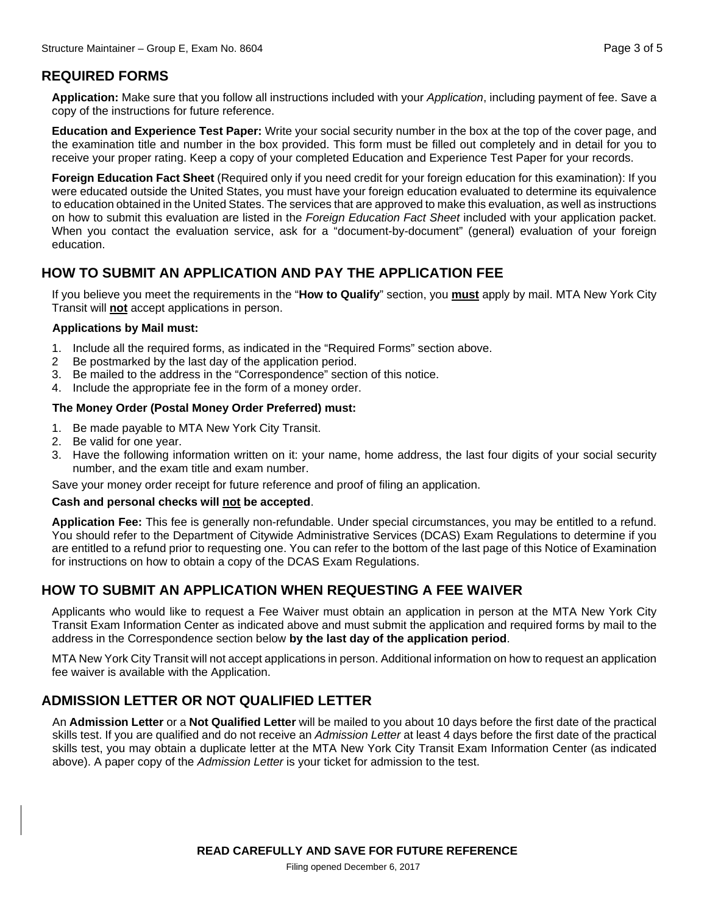## **REQUIRED FORMS**

**Application:** Make sure that you follow all instructions included with your *Application*, including payment of fee. Save a copy of the instructions for future reference.

**Education and Experience Test Paper:** Write your social security number in the box at the top of the cover page, and the examination title and number in the box provided. This form must be filled out completely and in detail for you to receive your proper rating. Keep a copy of your completed Education and Experience Test Paper for your records.

**Foreign Education Fact Sheet** (Required only if you need credit for your foreign education for this examination): If you were educated outside the United States, you must have your foreign education evaluated to determine its equivalence to education obtained in the United States. The services that are approved to make this evaluation, as well as instructions on how to submit this evaluation are listed in the *Foreign Education Fact Sheet* included with your application packet. When you contact the evaluation service, ask for a "document-by-document" (general) evaluation of your foreign education.

## **HOW TO SUBMIT AN APPLICATION AND PAY THE APPLICATION FEE**

If you believe you meet the requirements in the "**How to Qualify**" section, you **must** apply by mail. MTA New York City Transit will **not** accept applications in person.

#### **Applications by Mail must:**

- 1. Include all the required forms, as indicated in the "Required Forms" section above.
- 2 Be postmarked by the last day of the application period.
- 3. Be mailed to the address in the "Correspondence" section of this notice.
- 4. Include the appropriate fee in the form of a money order.

#### **The Money Order (Postal Money Order Preferred) must:**

- 1. Be made payable to MTA New York City Transit.
- 2. Be valid for one year.
- 3. Have the following information written on it: your name, home address, the last four digits of your social security number, and the exam title and exam number.

Save your money order receipt for future reference and proof of filing an application.

#### **Cash and personal checks will not be accepted**.

**Application Fee:** This fee is generally non-refundable. Under special circumstances, you may be entitled to a refund. You should refer to the Department of Citywide Administrative Services (DCAS) Exam Regulations to determine if you are entitled to a refund prior to requesting one. You can refer to the bottom of the last page of this Notice of Examination for instructions on how to obtain a copy of the DCAS Exam Regulations.

## **HOW TO SUBMIT AN APPLICATION WHEN REQUESTING A FEE WAIVER**

Applicants who would like to request a Fee Waiver must obtain an application in person at the MTA New York City Transit Exam Information Center as indicated above and must submit the application and required forms by mail to the address in the Correspondence section below **by the last day of the application period**.

MTA New York City Transit will not accept applications in person. Additional information on how to request an application fee waiver is available with the Application.

## **ADMISSION LETTER OR NOT QUALIFIED LETTER**

An **Admission Letter** or a **Not Qualified Letter** will be mailed to you about 10 days before the first date of the practical skills test. If you are qualified and do not receive an *Admission Letter* at least 4 days before the first date of the practical skills test, you may obtain a duplicate letter at the MTA New York City Transit Exam Information Center (as indicated above). A paper copy of the *Admission Letter* is your ticket for admission to the test.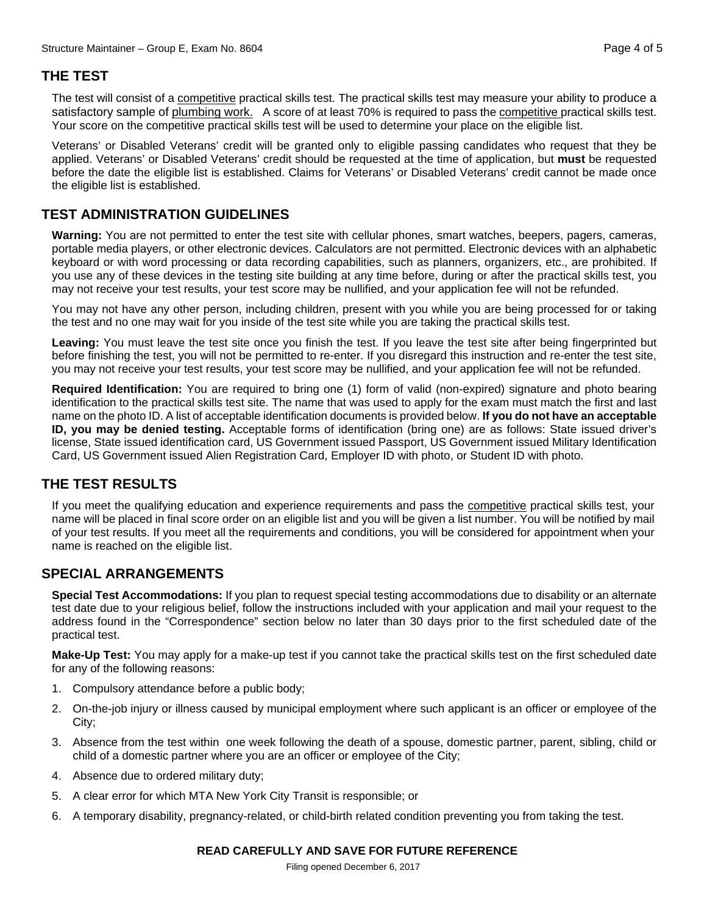## **THE TEST**

The test will consist of a competitive practical skills test. The practical skills test may measure your ability to produce a satisfactory sample of plumbing work. A score of at least 70% is required to pass the competitive practical skills test. Your score on the competitive practical skills test will be used to determine your place on the eligible list.

Veterans' or Disabled Veterans' credit will be granted only to eligible passing candidates who request that they be applied. Veterans' or Disabled Veterans' credit should be requested at the time of application, but **must** be requested before the date the eligible list is established. Claims for Veterans' or Disabled Veterans' credit cannot be made once the eligible list is established.

## **TEST ADMINISTRATION GUIDELINES**

**Warning:** You are not permitted to enter the test site with cellular phones, smart watches, beepers, pagers, cameras, portable media players, or other electronic devices. Calculators are not permitted. Electronic devices with an alphabetic keyboard or with word processing or data recording capabilities, such as planners, organizers, etc., are prohibited. If you use any of these devices in the testing site building at any time before, during or after the practical skills test, you may not receive your test results, your test score may be nullified, and your application fee will not be refunded.

You may not have any other person, including children, present with you while you are being processed for or taking the test and no one may wait for you inside of the test site while you are taking the practical skills test.

**Leaving:** You must leave the test site once you finish the test. If you leave the test site after being fingerprinted but before finishing the test, you will not be permitted to re-enter. If you disregard this instruction and re-enter the test site, you may not receive your test results, your test score may be nullified, and your application fee will not be refunded.

**Required Identification:** You are required to bring one (1) form of valid (non-expired) signature and photo bearing identification to the practical skills test site. The name that was used to apply for the exam must match the first and last name on the photo ID. A list of acceptable identification documents is provided below. **If you do not have an acceptable ID, you may be denied testing.** Acceptable forms of identification (bring one) are as follows: State issued driver's license, State issued identification card, US Government issued Passport, US Government issued Military Identification Card, US Government issued Alien Registration Card, Employer ID with photo, or Student ID with photo.

## **THE TEST RESULTS**

If you meet the qualifying education and experience requirements and pass the competitive practical skills test, your name will be placed in final score order on an eligible list and you will be given a list number. You will be notified by mail of your test results. If you meet all the requirements and conditions, you will be considered for appointment when your name is reached on the eligible list.

#### **SPECIAL ARRANGEMENTS**

**Special Test Accommodations:** If you plan to request special testing accommodations due to disability or an alternate test date due to your religious belief, follow the instructions included with your application and mail your request to the address found in the "Correspondence" section below no later than 30 days prior to the first scheduled date of the practical test.

**Make-Up Test:** You may apply for a make-up test if you cannot take the practical skills test on the first scheduled date for any of the following reasons:

- 1. Compulsory attendance before a public body;
- 2. On-the-job injury or illness caused by municipal employment where such applicant is an officer or employee of the City;
- 3. Absence from the test within one week following the death of a spouse, domestic partner, parent, sibling, child or child of a domestic partner where you are an officer or employee of the City;
- 4. Absence due to ordered military duty;
- 5. A clear error for which MTA New York City Transit is responsible; or
- 6. A temporary disability, pregnancy-related, or child-birth related condition preventing you from taking the test.

#### **READ CAREFULLY AND SAVE FOR FUTURE REFERENCE**